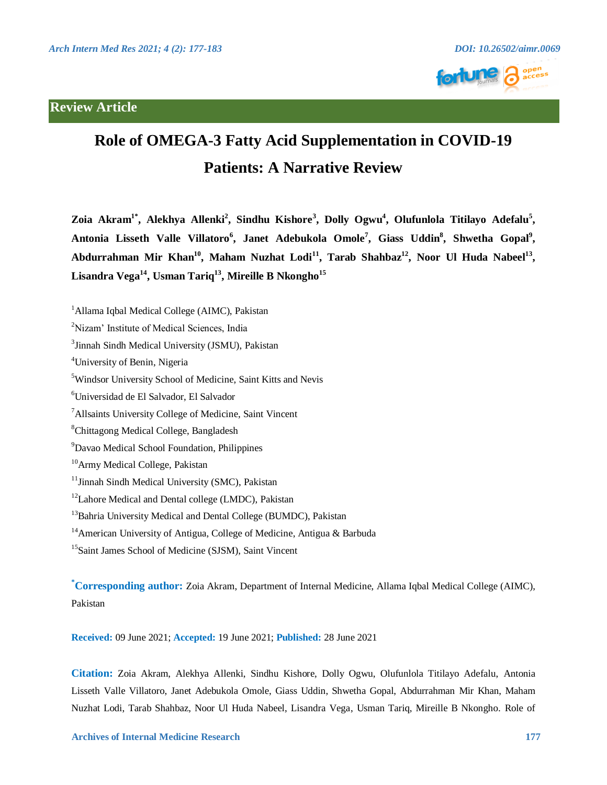## **Review Article**





# **Role of OMEGA-3 Fatty Acid Supplementation in COVID-19 Patients: A Narrative Review**

Zoia Akram<sup>1\*</sup>, Alekhya Allenki<sup>2</sup>, Sindhu Kishore<sup>3</sup>, Dolly Ogwu<sup>4</sup>, Olufunlola Titilayo Adefalu<sup>5</sup>, Antonia Lisseth Valle Villatoro<sup>6</sup>, Janet Adebukola Omole<sup>7</sup>, Giass Uddin<sup>8</sup>, Shwetha Gopal<sup>9</sup>, Abdurrahman Mir Khan<sup>10</sup>, Maham Nuzhat Lodi<sup>11</sup>, Tarab Shahbaz<sup>12</sup>, Noor Ul Huda Nabeel<sup>13</sup>, **Lisandra Vega14, Usman Tariq13, Mireille B Nkongho<sup>15</sup>**

<sup>1</sup> Allama Iqbal Medical College (AIMC), Pakistan

<sup>2</sup>Nizam' Institute of Medical Sciences, India

<sup>3</sup> Jinnah Sindh Medical University (JSMU), Pakistan

4 University of Benin, Nigeria

5 Windsor University School of Medicine, Saint Kitts and Nevis

6 Universidad de El Salvador, El Salvador

<sup>7</sup> Allsaints University College of Medicine, Saint Vincent

8 Chittagong Medical College, Bangladesh

9 Davao Medical School Foundation, Philippines

<sup>10</sup> Army Medical College, Pakistan

<sup>11</sup> Jinnah Sindh Medical University (SMC), Pakistan

<sup>12</sup> Lahore Medical and Dental college (LMDC), Pakistan

<sup>13</sup> Bahria University Medical and Dental College (BUMDC), Pakistan

<sup>14</sup> American University of Antigua, College of Medicine, Antigua & Barbuda

<sup>15</sup> Saint James School of Medicine (SJSM), Saint Vincent

**\* Corresponding author:** Zoia Akram, Department of Internal Medicine, Allama Iqbal Medical College (AIMC), Pakistan

**Received:** 09 June 2021; **Accepted:** 19 June 2021; **Published:** 28 June 2021

**Citation:** Zoia Akram, Alekhya Allenki, Sindhu Kishore, Dolly Ogwu, Olufunlola Titilayo Adefalu, Antonia Lisseth Valle Villatoro, Janet Adebukola Omole, Giass Uddin, Shwetha Gopal, Abdurrahman Mir Khan, Maham Nuzhat Lodi, Tarab Shahbaz, Noor Ul Huda Nabeel, Lisandra Vega, Usman Tariq, Mireille B Nkongho. Role of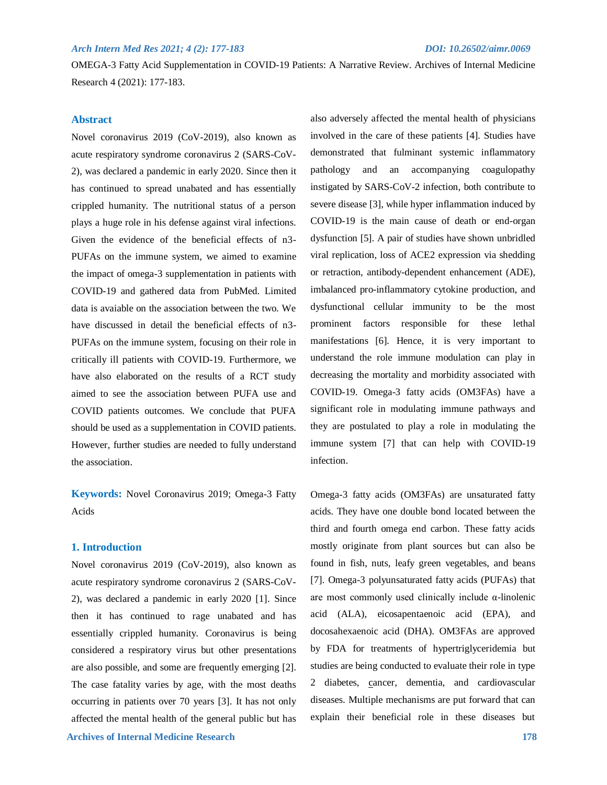OMEGA-3 Fatty Acid Supplementation in COVID-19 Patients: A Narrative Review. Archives of Internal Medicine Research 4 (2021): 177-183.

## **Abstract**

Novel coronavirus 2019 (CoV-2019), also known as acute respiratory syndrome coronavirus 2 (SARS-CoV-2), was declared a pandemic in early 2020. Since then it has continued to spread unabated and has essentially crippled humanity. The nutritional status of a person plays a huge role in his defense against viral infections. Given the evidence of the beneficial effects of n3- PUFAs on the immune system, we aimed to examine the impact of omega-3 supplementation in patients with COVID-19 and gathered data from PubMed. Limited data is avaiable on the association between the two. We have discussed in detail the beneficial effects of n3- PUFAs on the immune system, focusing on their role in critically ill patients with COVID-19. Furthermore, we have also elaborated on the results of a RCT study aimed to see the association between PUFA use and COVID patients outcomes. We conclude that PUFA should be used as a supplementation in COVID patients. However, further studies are needed to fully understand the association.

**Keywords:** Novel Coronavirus 2019; Omega-3 Fatty Acids

## **1. Introduction**

 **Archives of Internal Medicine Research 178** Novel coronavirus 2019 (CoV-2019), also known as acute respiratory syndrome coronavirus 2 (SARS-CoV-2), was declared a pandemic in early 2020 [1]. Since then it has continued to rage unabated and has essentially crippled humanity. Coronavirus is being considered a respiratory virus but other presentations are also possible, and some are frequently emerging [2]. The case fatality varies by age, with the most deaths occurring in patients over 70 years [3]. It has not only affected the mental health of the general public but has

involved in the care of these patients [4]. Studies have demonstrated that fulminant systemic inflammatory pathology and an accompanying coagulopathy instigated by SARS-CoV-2 infection, both contribute to severe disease [3], while hyper inflammation induced by COVID-19 is the main cause of death or end-organ dysfunction [5]. A pair of studies have shown unbridled viral replication, loss of ACE2 expression via shedding or retraction, antibody-dependent enhancement (ADE), imbalanced pro-inflammatory cytokine production, and dysfunctional cellular immunity to be the most prominent factors responsible for these lethal manifestations [6]. Hence, it is very important to understand the role immune modulation can play in decreasing the mortality and morbidity associated with COVID-19. Omega-3 fatty acids (OM3FAs) have a significant role in modulating immune pathways and they are postulated to play a role in modulating the immune system [7] that can help with COVID-19 infection.

also adversely affected the mental health of physicians

Omega-3 fatty acids (OM3FAs) are unsaturated fatty acids. They have one double bond located between the third and fourth omega end carbon. These fatty acids mostly originate from plant sources but can also be found in fish, nuts, leafy green vegetables, and beans [7]. Omega-3 polyunsaturated fatty acids (PUFAs) that are most commonly used clinically include α-linolenic acid (ALA), eicosapentaenoic acid (EPA), and docosahexaenoic acid (DHA). OM3FAs are approved by FDA for treatments of hypertriglyceridemia but studies are being conducted to evaluate their role in type 2 diabetes, cancer, dementia, and cardiovascular diseases. Multiple mechanisms are put forward that can explain their beneficial role in these diseases but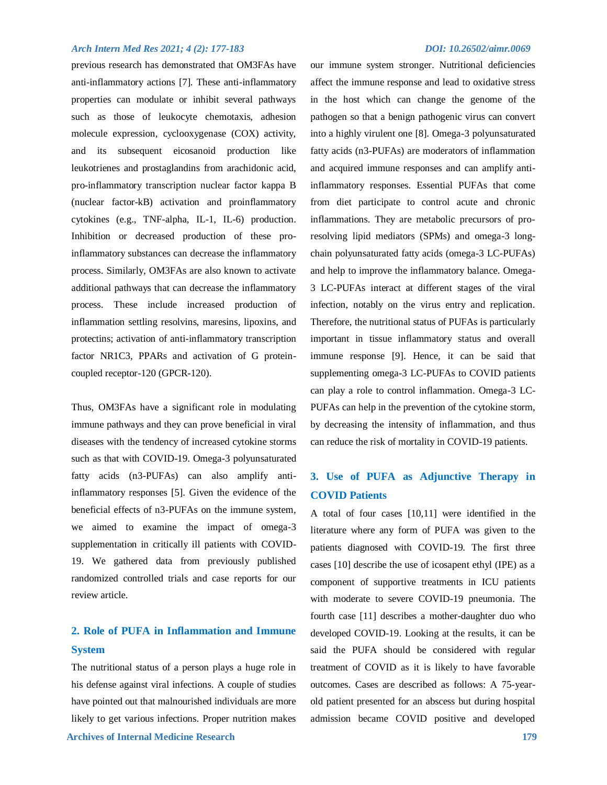previous research has demonstrated that OM3FAs have anti-inflammatory actions [7]. These anti-inflammatory properties can modulate or inhibit several pathways such as those of leukocyte chemotaxis, adhesion molecule expression, cyclooxygenase (COX) activity, and its subsequent eicosanoid production like leukotrienes and prostaglandins from arachidonic acid, pro-inflammatory transcription nuclear factor kappa B (nuclear factor-kB) activation and proinflammatory cytokines (e.g., TNF-alpha, IL-1, IL-6) production. Inhibition or decreased production of these proinflammatory substances can decrease the inflammatory process. Similarly, OM3FAs are also known to activate additional pathways that can decrease the inflammatory process. These include increased production of inflammation settling resolvins, maresins, lipoxins, and protectins; activation of anti-inflammatory transcription factor NR1C3, PPARs and activation of G proteincoupled receptor-120 (GPCR-120).

Thus, OM3FAs have a significant role in modulating immune pathways and they can prove beneficial in viral diseases with the tendency of increased cytokine storms such as that with COVID-19. Omega-3 polyunsaturated fatty acids (n3-PUFAs) can also amplify antiinflammatory responses [5]. Given the evidence of the beneficial effects of n3-PUFAs on the immune system, we aimed to examine the impact of omega-3 supplementation in critically ill patients with COVID-19. We gathered data from previously published randomized controlled trials and case reports for our review article.

## **2. Role of PUFA in Inflammation and Immune System**

 **Archives of Internal Medicine Research 179** The nutritional status of a person plays a huge role in his defense against viral infections. A couple of studies have pointed out that malnourished individuals are more likely to get various infections. Proper nutrition makes

our immune system stronger. Nutritional deficiencies affect the immune response and lead to oxidative stress in the host which can change the genome of the pathogen so that a benign pathogenic virus can convert into a highly virulent one [8]. Omega-3 polyunsaturated fatty acids (n3-PUFAs) are moderators of inflammation and acquired immune responses and can amplify antiinflammatory responses. Essential PUFAs that come from diet participate to control acute and chronic inflammations. They are metabolic precursors of proresolving lipid mediators (SPMs) and omega-3 longchain polyunsaturated fatty acids (omega-3 LC-PUFAs) and help to improve the inflammatory balance. Omega-3 LC-PUFAs interact at different stages of the viral infection, notably on the virus entry and replication. Therefore, the nutritional status of PUFAs is particularly important in tissue inflammatory status and overall immune response [9]. Hence, it can be said that supplementing omega-3 LC-PUFAs to COVID patients can play a role to control inflammation. Omega-3 LC-PUFAs can help in the prevention of the cytokine storm, by decreasing the intensity of inflammation, and thus can reduce the risk of mortality in COVID-19 patients.

## **3. Use of PUFA as Adjunctive Therapy in COVID Patients**

A total of four cases [10,11] were identified in the literature where any form of PUFA was given to the patients diagnosed with COVID-19. The first three cases [10] describe the use of icosapent ethyl (IPE) as a component of supportive treatments in ICU patients with moderate to severe COVID-19 pneumonia. The fourth case [11] describes a mother-daughter duo who developed COVID-19. Looking at the results, it can be said the PUFA should be considered with regular treatment of COVID as it is likely to have favorable outcomes. Cases are described as follows: A 75-yearold patient presented for an abscess but during hospital admission became COVID positive and developed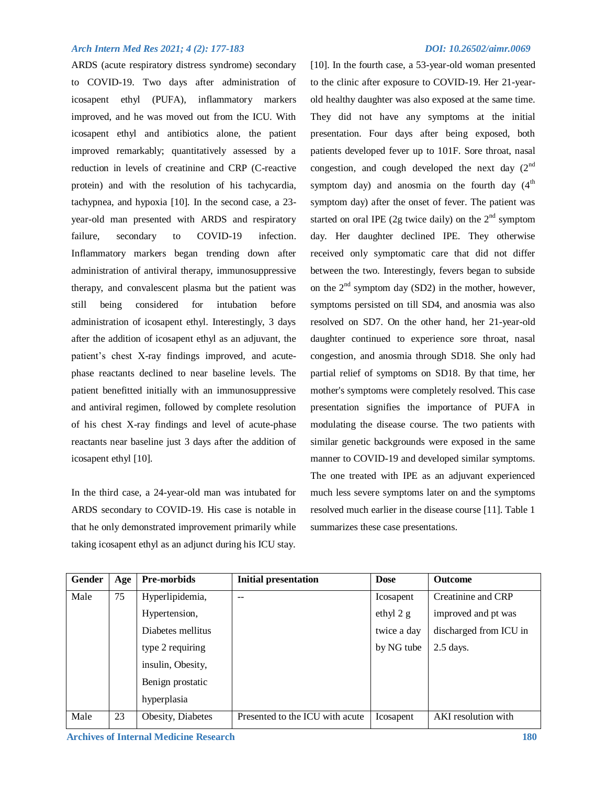ARDS (acute respiratory distress syndrome) secondary to COVID-19. Two days after administration of icosapent ethyl (PUFA), inflammatory markers improved, and he was moved out from the ICU. With icosapent ethyl and antibiotics alone, the patient improved remarkably; quantitatively assessed by a reduction in levels of creatinine and CRP (C-reactive protein) and with the resolution of his tachycardia, tachypnea, and hypoxia [10]. In the second case, a 23 year-old man presented with ARDS and respiratory failure, secondary to COVID-19 infection. Inflammatory markers began trending down after administration of antiviral therapy, immunosuppressive therapy, and convalescent plasma but the patient was still being considered for intubation before administration of icosapent ethyl. Interestingly, 3 days after the addition of icosapent ethyl as an adjuvant, the patient's chest X-ray findings improved, and acutephase reactants declined to near baseline levels. The patient benefitted initially with an immunosuppressive and antiviral regimen, followed by complete resolution of his chest X-ray findings and level of acute-phase reactants near baseline just 3 days after the addition of icosapent ethyl [10].

In the third case, a 24-year-old man was intubated for ARDS secondary to COVID-19. His case is notable in that he only demonstrated improvement primarily while taking icosapent ethyl as an adjunct during his ICU stay.

[10]. In the fourth case, a 53-year-old woman presented to the clinic after exposure to COVID-19. Her 21-yearold healthy daughter was also exposed at the same time. They did not have any symptoms at the initial presentation. Four days after being exposed, both patients developed fever up to 101F. Sore throat, nasal congestion, and cough developed the next day  $(2^{nd}$ symptom day) and anosmia on the fourth day  $(4<sup>th</sup>$ symptom day) after the onset of fever. The patient was started on oral IPE (2g twice daily) on the  $2<sup>nd</sup>$  symptom day. Her daughter declined IPE. They otherwise received only symptomatic care that did not differ between the two. Interestingly, fevers began to subside on the  $2<sup>nd</sup>$  symptom day (SD2) in the mother, however, symptoms persisted on till SD4, and anosmia was also resolved on SD7. On the other hand, her 21-year-old daughter continued to experience sore throat, nasal congestion, and anosmia through SD18. She only had partial relief of symptoms on SD18. By that time, her mother's symptoms were completely resolved. This case presentation signifies the importance of PUFA in modulating the disease course. The two patients with similar genetic backgrounds were exposed in the same manner to COVID-19 and developed similar symptoms. The one treated with IPE as an adjuvant experienced much less severe symptoms later on and the symptoms resolved much earlier in the disease course [11]. Table 1 summarizes these case presentations.

| Gender | Age | <b>Pre-morbids</b> | <b>Initial presentation</b>     | <b>Dose</b> | <b>Outcome</b>         |
|--------|-----|--------------------|---------------------------------|-------------|------------------------|
| Male   | 75  | Hyperlipidemia,    | --                              | Icosapent   | Creatinine and CRP     |
|        |     | Hypertension,      |                                 | ethyl $2 g$ | improved and pt was    |
|        |     | Diabetes mellitus  |                                 | twice a day | discharged from ICU in |
|        |     | type 2 requiring   |                                 | by NG tube  | $2.5$ days.            |
|        |     | insulin, Obesity,  |                                 |             |                        |
|        |     | Benign prostatic   |                                 |             |                        |
|        |     | hyperplasia        |                                 |             |                        |
| Male   | 23  | Obesity, Diabetes  | Presented to the ICU with acute | Icosapent   | AKI resolution with    |

 **Archives of Internal Medicine Research 180**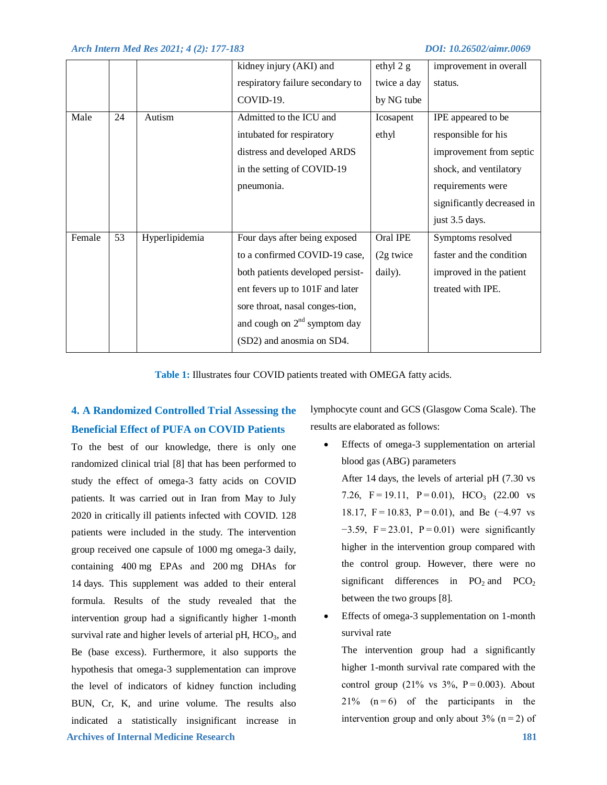|        |    |                | kidney injury (AKI) and          | ethyl 2 g   | improvement in overall     |
|--------|----|----------------|----------------------------------|-------------|----------------------------|
|        |    |                | respiratory failure secondary to | twice a day | status.                    |
|        |    |                | COVID-19.                        | by NG tube  |                            |
| Male   | 24 | Autism         | Admitted to the ICU and          | Icosapent   | IPE appeared to be         |
|        |    |                | intubated for respiratory        | ethyl       | responsible for his        |
|        |    |                | distress and developed ARDS      |             | improvement from septic    |
|        |    |                | in the setting of COVID-19       |             | shock, and ventilatory     |
|        |    |                | pneumonia.                       |             | requirements were          |
|        |    |                |                                  |             | significantly decreased in |
|        |    |                |                                  |             | just 3.5 days.             |
| Female | 53 | Hyperlipidemia | Four days after being exposed    | Oral IPE    | Symptoms resolved          |
|        |    |                | to a confirmed COVID-19 case,    | (2g twice   | faster and the condition   |
|        |    |                | both patients developed persist- | daily).     | improved in the patient    |
|        |    |                | ent fevers up to 101F and later  |             | treated with IPE.          |
|        |    |                | sore throat, nasal conges-tion,  |             |                            |
|        |    |                | and cough on $2nd$ symptom day   |             |                            |
|        |    |                | (SD2) and anosmia on SD4.        |             |                            |

**Table 1:** Illustrates four COVID patients treated with OMEGA fatty acids.

## **4. A Randomized Controlled Trial Assessing the Beneficial Effect of PUFA on COVID Patients**

 **Archives of Internal Medicine Research 181** To the best of our knowledge, there is only one randomized clinical trial [8] that has been performed to study the effect of omega-3 fatty acids on COVID patients. It was carried out in Iran from May to July 2020 in critically ill patients infected with COVID. 128 patients were included in the study. The intervention group received one capsule of 1000 mg omega-3 daily, containing 400 mg EPAs and 200 mg DHAs for 14 days. This supplement was added to their enteral formula. Results of the study revealed that the intervention group had a significantly higher 1-month survival rate and higher levels of arterial pH,  $HCO<sub>3</sub>$ , and Be (base excess). Furthermore, it also supports the hypothesis that omega-3 supplementation can improve the level of indicators of kidney function including BUN, Cr, K, and urine volume. The results also indicated a statistically insignificant increase in

lymphocyte count and GCS (Glasgow Coma Scale). The results are elaborated as follows:

- Effects of omega-3 supplementation on arterial blood gas (ABG) parameters After 14 days, the levels of arterial pH (7.30 vs 7.26,  $F = 19.11$ ,  $P = 0.01$ ),  $HCO<sub>3</sub>$  (22.00 vs 18.17, F = 10.83, P = 0.01), and Be (−4.97 vs −3.59, F = 23.01, P = 0.01) were significantly higher in the intervention group compared with the control group. However, there were no significant differences in  $PO_2$  and  $PCO_2$ between the two groups [8].
- Effects of omega-3 supplementation on 1-month survival rate

The intervention group had a significantly higher 1-month survival rate compared with the control group (21% vs  $3\%$ , P = 0.003). About  $21\%$  (n=6) of the participants in the intervention group and only about  $3\%$  (n = 2) of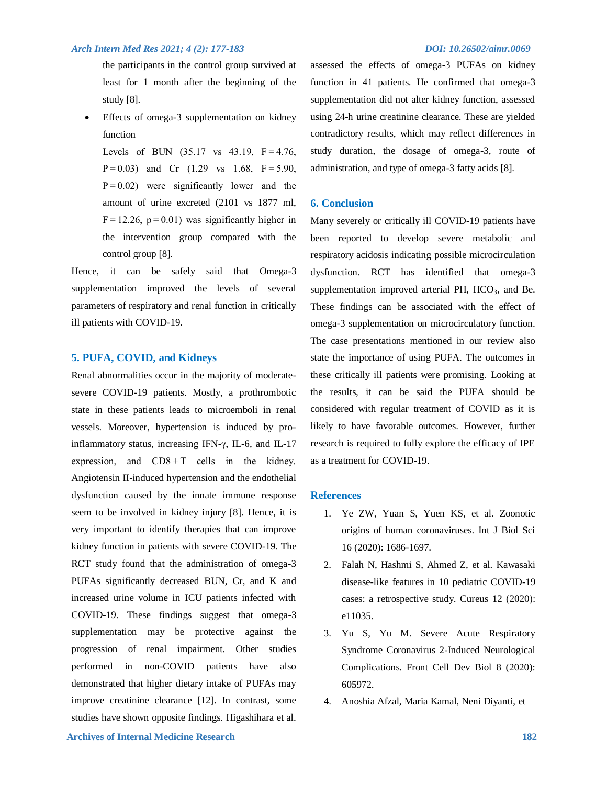the participants in the control group survived at least for 1 month after the beginning of the study [8].

 Effects of omega-3 supplementation on kidney function

Levels of BUN  $(35.17 \text{ vs } 43.19, \text{ F} = 4.76,$ P = 0.03) and Cr (1.29 vs 1.68, F = 5.90, P = 0.02) were significantly lower and the amount of urine excreted (2101 vs 1877 ml,  $F = 12.26$ ,  $p = 0.01$ ) was significantly higher in the intervention group compared with the control group [8].

Hence, it can be safely said that Omega-3 supplementation improved the levels of several parameters of respiratory and renal function in critically ill patients with COVID-19.

### **5. PUFA, COVID, and Kidneys**

Renal abnormalities occur in the majority of moderatesevere COVID-19 patients. Mostly, a prothrombotic state in these patients leads to microemboli in renal vessels. Moreover, hypertension is induced by proinflammatory status, increasing IFN-γ, IL-6, and IL-17 expression, and  $CD8+T$  cells in the kidney. Angiotensin II-induced hypertension and the endothelial dysfunction caused by the innate immune response seem to be involved in kidney injury [8]. Hence, it is very important to identify therapies that can improve kidney function in patients with severe COVID-19. The RCT study found that the administration of omega-3 PUFAs significantly decreased BUN, Cr, and K and increased urine volume in ICU patients infected with COVID-19. These findings suggest that omega-3 supplementation may be protective against the progression of renal impairment. Other studies performed in non-COVID patients have also demonstrated that higher dietary intake of PUFAs may improve creatinine clearance [12]. In contrast, some studies have shown opposite findings. Higashihara et al.

assessed the effects of omega-3 PUFAs on kidney function in 41 patients. He confirmed that omega-3 supplementation did not alter kidney function, assessed using 24-h urine creatinine clearance. These are yielded contradictory results, which may reflect differences in study duration, the dosage of omega-3, route of administration, and type of omega-3 fatty acids [8].

### **6. Conclusion**

Many severely or critically ill COVID-19 patients have been reported to develop severe metabolic and respiratory acidosis indicating possible microcirculation dysfunction. RCT has identified that omega-3 supplementation improved arterial PH,  $HCO<sub>3</sub>$ , and Be. These findings can be associated with the effect of omega-3 supplementation on microcirculatory function. The case presentations mentioned in our review also state the importance of using PUFA. The outcomes in these critically ill patients were promising. Looking at the results, it can be said the PUFA should be considered with regular treatment of COVID as it is likely to have favorable outcomes. However, further research is required to fully explore the efficacy of IPE as a treatment for COVID-19.

## **References**

- 1. Ye ZW, Yuan S, Yuen KS, et al. Zoonotic origins of human coronaviruses. Int J Biol Sci 16 (2020): 1686-1697.
- 2. Falah N, Hashmi S, Ahmed Z, et al. Kawasaki disease-like features in 10 pediatric COVID-19 cases: a retrospective study. Cureus 12 (2020): e11035.
- 3. Yu S, Yu M. Severe Acute Respiratory Syndrome Coronavirus 2-Induced Neurological Complications. Front Cell Dev Biol 8 (2020): 605972.
- 4. Anoshia Afzal, Maria Kamal, Neni Diyanti, et